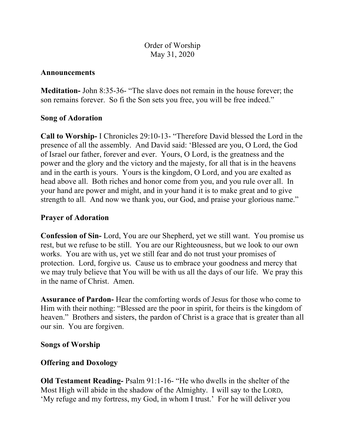## Order of Worship May 31, 2020

#### **Announcements**

**Meditation-** John 8:35-36- "The slave does not remain in the house forever; the son remains forever. So fi the Son sets you free, you will be free indeed."

#### **Song of Adoration**

**Call to Worship-** I Chronicles 29:10-13- "Therefore David blessed the Lord in the presence of all the assembly. And David said: 'Blessed are you, O Lord, the God of Israel our father, forever and ever. Yours, O Lord, is the greatness and the power and the glory and the victory and the majesty, for all that is in the heavens and in the earth is yours. Yours is the kingdom, O Lord, and you are exalted as head above all. Both riches and honor come from you, and you rule over all. In your hand are power and might, and in your hand it is to make great and to give strength to all. And now we thank you, our God, and praise your glorious name."

#### **Prayer of Adoration**

**Confession of Sin-** Lord, You are our Shepherd, yet we still want. You promise us rest, but we refuse to be still. You are our Righteousness, but we look to our own works. You are with us, yet we still fear and do not trust your promises of protection. Lord, forgive us. Cause us to embrace your goodness and mercy that we may truly believe that You will be with us all the days of our life. We pray this in the name of Christ. Amen.

**Assurance of Pardon-** Hear the comforting words of Jesus for those who come to Him with their nothing: "Blessed are the poor in spirit, for theirs is the kingdom of heaven." Brothers and sisters, the pardon of Christ is a grace that is greater than all our sin. You are forgiven.

#### **Songs of Worship**

### **Offering and Doxology**

**Old Testament Reading-** Psalm 91:1-16- "He who dwells in the shelter of the Most High will abide in the shadow of the Almighty. I will say to the LORD, 'My refuge and my fortress, my God, in whom I trust.' For he will deliver you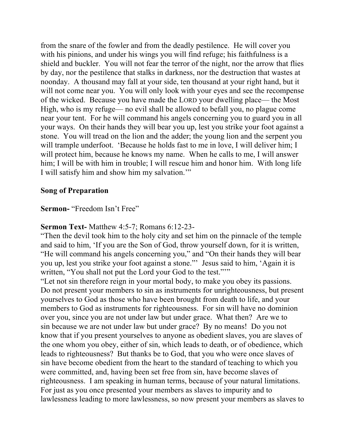from the snare of the fowler and from the deadly pestilence. He will cover you with his pinions, and under his wings you will find refuge; his faithfulness is a shield and buckler. You will not fear the terror of the night, nor the arrow that flies by day, nor the pestilence that stalks in darkness, nor the destruction that wastes at noonday. A thousand may fall at your side, ten thousand at your right hand, but it will not come near you. You will only look with your eyes and see the recompense of the wicked. Because you have made the LORD your dwelling place— the Most High, who is my refuge— no evil shall be allowed to befall you, no plague come near your tent. For he will command his angels concerning you to guard you in all your ways. On their hands they will bear you up, lest you strike your foot against a stone. You will tread on the lion and the adder; the young lion and the serpent you will trample underfoot. 'Because he holds fast to me in love, I will deliver him; I will protect him, because he knows my name. When he calls to me, I will answer him; I will be with him in trouble; I will rescue him and honor him. With long life I will satisfy him and show him my salvation.'"

#### **Song of Preparation**

#### **Sermon-** "Freedom Isn't Free"

#### **Sermon Text-** Matthew 4:5-7; Romans 6:12-23-

"Then the devil took him to the holy city and set him on the pinnacle of the temple and said to him, 'If you are the Son of God, throw yourself down, for it is written, "He will command his angels concerning you," and "On their hands they will bear you up, lest you strike your foot against a stone."' Jesus said to him, 'Again it is written, "You shall not put the Lord your God to the test."""

"Let not sin therefore reign in your mortal body, to make you obey its passions. Do not present your members to sin as instruments for unrighteousness, but present yourselves to God as those who have been brought from death to life, and your members to God as instruments for righteousness. For sin will have no dominion over you, since you are not under law but under grace. What then? Are we to sin because we are not under law but under grace? By no means! Do you not know that if you present yourselves to anyone as obedient slaves, you are slaves of the one whom you obey, either of sin, which leads to death, or of obedience, which leads to righteousness? But thanks be to God, that you who were once slaves of sin have become obedient from the heart to the standard of teaching to which you were committed, and, having been set free from sin, have become slaves of righteousness. I am speaking in human terms, because of your natural limitations. For just as you once presented your members as slaves to impurity and to lawlessness leading to more lawlessness, so now present your members as slaves to